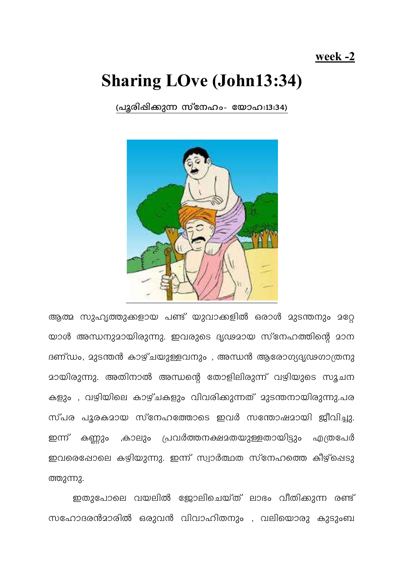## week -2

## **Sharing LOve (John13:34)**

(പുരിഷിക്കുന്ന സ്നേഹം- യോഹ:13:34)



ആത്മ സുഹൃത്തുക്കളായ പണ്ട് യുവാക്കളിൽ ഒരാൾ മുടന്തനും മറ്റേ യാൾ അന്ധനുമായിരുന്നു. ഇവരുടെ ദൃഢമായ സ്നേഹത്തിന്റെ മാന ദണ്ഡം, മുടന്തൻ കാഴ്ചയുള്ളവനും , അന്ധൻ ആരോഗ്യദൃഢഗാത്രനു <u>മായിരുന്നു. അതിനാൽ അന്ധന്റെ തോളിലിരുന്ന് വഴിയുടെ സൂചന</u> കളും , വഴിയിലെ കാഴ്ചകളും വിവരിക്കുന്നത് മുടന്തനായിരുന്നു.പര സ്പര പൂരകമായ സ്നേഹത്തോടെ ഇവർ സന്തോഷമായി ജീവിച്ചു. കണ്ണും ,കാലും പ്രവർത്തനക്ഷമതയുള്ളതായിട്ടും എത്രപേർ ഇന്ന് ഇവരെഷോലെ കഴിയുന്നു. ഇന്ന് സ്വാർത്ഥത സ്നേഹത്തെ കീഴ്ചെടു ത്തുന്നു.

ഇതുപോലെ വയലിൽ ജോലിചെയ്ത് ലാഭം വീതിക്കുന്ന രണ്ട് സഹോദരൻമാരിൽ ഒരുവൻ വിവാഹിതനും , വലിയൊരു കുടുംബ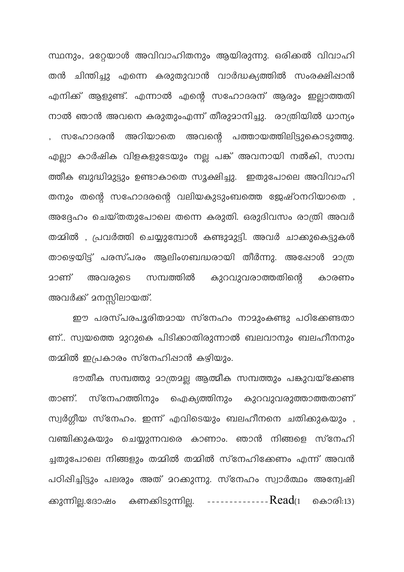സ്ഥനും, മറ്റേയാൾ അവിവാഹിതനും ആയിരുന്നു. ഒരിക്കൽ വിവാഹി തൻ ചിന്തിച്ചു എന്നെ കരുതുവാൻ വാർദ്ധക്യത്തിൽ സംരക്ഷിപ്പാൻ എനിക്ക് ആളുണ്ട്. എന്നാൽ എന്റെ സഹോദരന് ആരും ഇല്ലാത്തതി നാൽ ഞാൻ അവനെ കരുതുംഎന്ന് തീരുമാനിച്ചു. രാത്രിയിൽ ധാന്യം സഹോദരൻ അറിയാതെ അവന്റെ പത്തായത്തിലിട്ടുകൊടുത്തു. എല്ലാ കാർഷിക വിളകളുടേയും നല്ല പങ്ക് അവനായി നൽകി, സാമ്പ ത്തീക ബുദ്ധിമുട്ടും ഉണ്ടാകാതെ സൂക്ഷിച്ചു. ഇതുപോലെ അവിവാഹി തനും തന്റെ സഹോദരന്റെ വലിയകുടുംബത്തെ ജേഷ്ഠനറിയാതെ , അദ്ദേഹം ചെയ്തതുപോലെ തന്നെ കരുതി. ഒരുദിവസം രാത്രി അവർ തമ്മിൽ , പ്രവർത്തി ചെയ്യുമ്പോൾ കണ്ടുമുട്ടി. അവർ ചാക്കുകെട്ടുകൾ താഴെയിട്ട് പരസ്പരം ആലിംഗബദ്ധരായി തീർന്നു. അഷോൾ മാത്ര കുറവുവരാത്തതിന്റെ സമ്പത്തിൽ മാണ് അവരുടെ കാരണം അവർക്ക് മനസ്സിലായത്.

ഈ പരസ്പരപൂരിതമായ സ്നേഹം നാമുംകണ്ടു പഠിക്കേണ്ടതാ ണ്.. സ്വയത്തെ മുറുകെ പിടിക്കാതിരുന്നാൽ ബലവാനും ബലഹീനനും തമ്മിൽ ഇപ്രകാരം സ്നേഹിഷാൻ കഴിയും.

ഭൗതീക സമ്പത്തു മാത്രമല്ല ആത്മീക സമ്പത്തും പകുവയ്ക്കേണ്ട താണ്. സ്നേഹത്തിനും ഐക്യത്തിനും കുറവുവരുത്താത്തതാണ് സ്വർഗ്ഗീയ സ്നേഹം. ഇന്ന് എവിടെയും ബലഹീനനെ ചതിക്കുകയും , വഞ്ചിക്കുകയും ചെയ്യുന്നവരെ കാണാം. ഞാൻ നിങ്ങളെ സ്നേഹി ച്ചതുപോലെ നിങ്ങളും തമ്മിൽ തമ്മിൽ സ്നേഹിക്കേണം എന്ന് അവൻ പഠിഷിച്ചിട്ടും പലരും അത് മറക്കുന്നു. സ്നേഹം സ്വാർത്ഥം അന്വേഷി ക്കുന്നില്ല.ദോഷം കണക്കിടുന്നില്ല. ----------------Read(1 കൊരി:13)